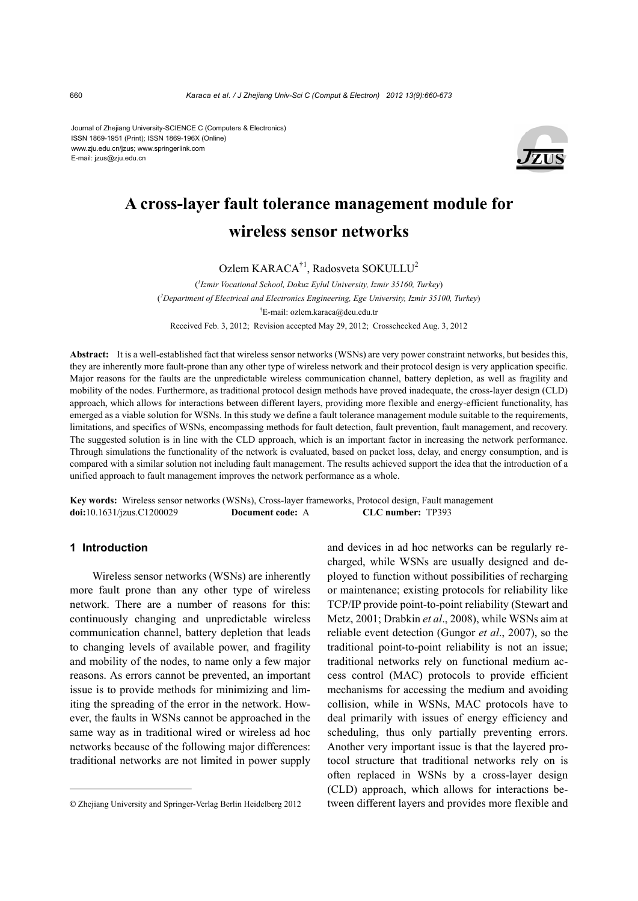Journal of Zhejiang University-SCIENCE C (Computers & Electronics) ISSN 1869-1951 (Print); ISSN 1869-196X (Online) www.zju.edu.cn/jzus; www.springerlink.com E-mail: jzus@zju.edu.cn



# **A cross-layer fault tolerance management module for wireless sensor networks**

Ozlem KARACA†1, Radosveta SOKULLU2

( *1 Izmir Vocational School, Dokuz Eylul University, Izmir 35160, Turkey*) ( *2 Department of Electrical and Electronics Engineering, Ege University, Izmir 35100, Turkey*) † E-mail: ozlem.karaca@deu.edu.tr Received Feb. 3, 2012; Revision accepted May 29, 2012; Crosschecked Aug. 3, 2012

**Abstract:** It is a well-established fact that wireless sensor networks (WSNs) are very power constraint networks, but besides this, they are inherently more fault-prone than any other type of wireless network and their protocol design is very application specific. Major reasons for the faults are the unpredictable wireless communication channel, battery depletion, as well as fragility and mobility of the nodes. Furthermore, as traditional protocol design methods have proved inadequate, the cross-layer design (CLD) approach, which allows for interactions between different layers, providing more flexible and energy-efficient functionality, has emerged as a viable solution for WSNs. In this study we define a fault tolerance management module suitable to the requirements, limitations, and specifics of WSNs, encompassing methods for fault detection, fault prevention, fault management, and recovery. The suggested solution is in line with the CLD approach, which is an important factor in increasing the network performance. Through simulations the functionality of the network is evaluated, based on packet loss, delay, and energy consumption, and is compared with a similar solution not including fault management. The results achieved support the idea that the introduction of a unified approach to fault management improves the network performance as a whole.

**Key words:** Wireless sensor networks (WSNs), Cross-layer frameworks, Protocol design, Fault management **doi:**10.1631/jzus.C1200029 **Document code:** A **CLC number:** TP393

#### **1 Introduction**

Wireless sensor networks (WSNs) are inherently more fault prone than any other type of wireless network. There are a number of reasons for this: continuously changing and unpredictable wireless communication channel, battery depletion that leads to changing levels of available power, and fragility and mobility of the nodes, to name only a few major reasons. As errors cannot be prevented, an important issue is to provide methods for minimizing and limiting the spreading of the error in the network. However, the faults in WSNs cannot be approached in the same way as in traditional wired or wireless ad hoc networks because of the following major differences: traditional networks are not limited in power supply

and devices in ad hoc networks can be regularly recharged, while WSNs are usually designed and deployed to function without possibilities of recharging or maintenance; existing protocols for reliability like TCP/IP provide point-to-point reliability (Stewart and Metz, 2001; Drabkin *et al*., 2008), while WSNs aim at reliable event detection (Gungor *et al*., 2007), so the traditional point-to-point reliability is not an issue; traditional networks rely on functional medium access control (MAC) protocols to provide efficient mechanisms for accessing the medium and avoiding collision, while in WSNs, MAC protocols have to deal primarily with issues of energy efficiency and scheduling, thus only partially preventing errors. Another very important issue is that the layered protocol structure that traditional networks rely on is often replaced in WSNs by a cross-layer design (CLD) approach, which allows for interactions between different layers and provides more flexible and

**<sup>©</sup>** Zhejiang University and Springer-Verlag Berlin Heidelberg 2012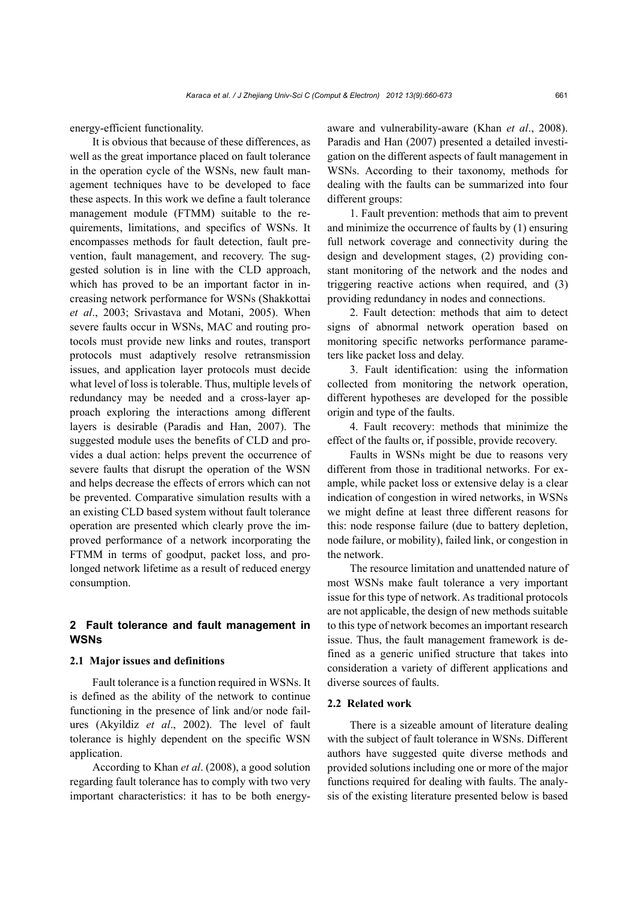energy-efficient functionality.

It is obvious that because of these differences, as well as the great importance placed on fault tolerance in the operation cycle of the WSNs, new fault management techniques have to be developed to face these aspects. In this work we define a fault tolerance management module (FTMM) suitable to the requirements, limitations, and specifics of WSNs. It encompasses methods for fault detection, fault prevention, fault management, and recovery. The suggested solution is in line with the CLD approach, which has proved to be an important factor in increasing network performance for WSNs (Shakkottai *et al*., 2003; Srivastava and Motani, 2005). When severe faults occur in WSNs, MAC and routing protocols must provide new links and routes, transport protocols must adaptively resolve retransmission issues, and application layer protocols must decide what level of loss is tolerable. Thus, multiple levels of redundancy may be needed and a cross-layer approach exploring the interactions among different layers is desirable (Paradis and Han, 2007). The suggested module uses the benefits of CLD and provides a dual action: helps prevent the occurrence of severe faults that disrupt the operation of the WSN and helps decrease the effects of errors which can not be prevented. Comparative simulation results with a an existing CLD based system without fault tolerance operation are presented which clearly prove the improved performance of a network incorporating the FTMM in terms of goodput, packet loss, and prolonged network lifetime as a result of reduced energy consumption.

### **2 Fault tolerance and fault management in WSNs**

#### **2.1 Major issues and definitions**

Fault tolerance is a function required in WSNs. It is defined as the ability of the network to continue functioning in the presence of link and/or node failures (Akyildiz *et al*., 2002). The level of fault tolerance is highly dependent on the specific WSN application.

According to Khan *et al*. (2008), a good solution regarding fault tolerance has to comply with two very important characteristics: it has to be both energyaware and vulnerability-aware (Khan *et al*., 2008). Paradis and Han (2007) presented a detailed investigation on the different aspects of fault management in WSNs. According to their taxonomy, methods for dealing with the faults can be summarized into four different groups:

1. Fault prevention: methods that aim to prevent and minimize the occurrence of faults by (1) ensuring full network coverage and connectivity during the design and development stages, (2) providing constant monitoring of the network and the nodes and triggering reactive actions when required, and (3) providing redundancy in nodes and connections.

2. Fault detection: methods that aim to detect signs of abnormal network operation based on monitoring specific networks performance parameters like packet loss and delay.

3. Fault identification: using the information collected from monitoring the network operation, different hypotheses are developed for the possible origin and type of the faults.

4. Fault recovery: methods that minimize the effect of the faults or, if possible, provide recovery.

Faults in WSNs might be due to reasons very different from those in traditional networks. For example, while packet loss or extensive delay is a clear indication of congestion in wired networks, in WSNs we might define at least three different reasons for this: node response failure (due to battery depletion, node failure, or mobility), failed link, or congestion in the network.

The resource limitation and unattended nature of most WSNs make fault tolerance a very important issue for this type of network. As traditional protocols are not applicable, the design of new methods suitable to this type of network becomes an important research issue. Thus, the fault management framework is defined as a generic unified structure that takes into consideration a variety of different applications and diverse sources of faults.

#### **2.2 Related work**

There is a sizeable amount of literature dealing with the subject of fault tolerance in WSNs. Different authors have suggested quite diverse methods and provided solutions including one or more of the major functions required for dealing with faults. The analysis of the existing literature presented below is based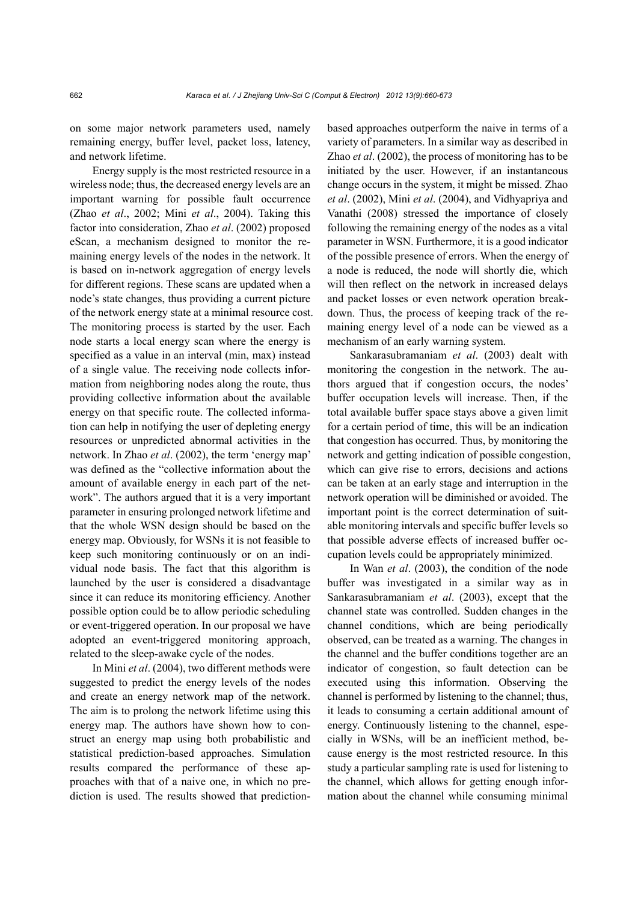on some major network parameters used, namely remaining energy, buffer level, packet loss, latency, and network lifetime.

Energy supply is the most restricted resource in a wireless node; thus, the decreased energy levels are an important warning for possible fault occurrence (Zhao *et al*., 2002; Mini *et al*., 2004). Taking this factor into consideration, Zhao *et al*. (2002) proposed eScan, a mechanism designed to monitor the remaining energy levels of the nodes in the network. It is based on in-network aggregation of energy levels for different regions. These scans are updated when a node's state changes, thus providing a current picture of the network energy state at a minimal resource cost. The monitoring process is started by the user. Each node starts a local energy scan where the energy is specified as a value in an interval (min, max) instead of a single value. The receiving node collects information from neighboring nodes along the route, thus providing collective information about the available energy on that specific route. The collected information can help in notifying the user of depleting energy resources or unpredicted abnormal activities in the network. In Zhao *et al*. (2002), the term 'energy map' was defined as the "collective information about the amount of available energy in each part of the network". The authors argued that it is a very important parameter in ensuring prolonged network lifetime and that the whole WSN design should be based on the energy map. Obviously, for WSNs it is not feasible to keep such monitoring continuously or on an individual node basis. The fact that this algorithm is launched by the user is considered a disadvantage since it can reduce its monitoring efficiency. Another possible option could be to allow periodic scheduling or event-triggered operation. In our proposal we have adopted an event-triggered monitoring approach, related to the sleep-awake cycle of the nodes.

In Mini *et al*. (2004), two different methods were suggested to predict the energy levels of the nodes and create an energy network map of the network. The aim is to prolong the network lifetime using this energy map. The authors have shown how to construct an energy map using both probabilistic and statistical prediction-based approaches. Simulation results compared the performance of these approaches with that of a naive one, in which no prediction is used. The results showed that predictionbased approaches outperform the naive in terms of a variety of parameters. In a similar way as described in Zhao *et al*. (2002), the process of monitoring has to be initiated by the user. However, if an instantaneous change occurs in the system, it might be missed. Zhao *et al*. (2002), Mini *et al*. (2004), and Vidhyapriya and Vanathi (2008) stressed the importance of closely following the remaining energy of the nodes as a vital parameter in WSN. Furthermore, it is a good indicator of the possible presence of errors. When the energy of a node is reduced, the node will shortly die, which will then reflect on the network in increased delays and packet losses or even network operation breakdown. Thus, the process of keeping track of the remaining energy level of a node can be viewed as a mechanism of an early warning system.

Sankarasubramaniam *et al*. (2003) dealt with monitoring the congestion in the network. The authors argued that if congestion occurs, the nodes' buffer occupation levels will increase. Then, if the total available buffer space stays above a given limit for a certain period of time, this will be an indication that congestion has occurred. Thus, by monitoring the network and getting indication of possible congestion, which can give rise to errors, decisions and actions can be taken at an early stage and interruption in the network operation will be diminished or avoided. The important point is the correct determination of suitable monitoring intervals and specific buffer levels so that possible adverse effects of increased buffer occupation levels could be appropriately minimized.

In Wan *et al*. (2003), the condition of the node buffer was investigated in a similar way as in Sankarasubramaniam *et al*. (2003), except that the channel state was controlled. Sudden changes in the channel conditions, which are being periodically observed, can be treated as a warning. The changes in the channel and the buffer conditions together are an indicator of congestion, so fault detection can be executed using this information. Observing the channel is performed by listening to the channel; thus, it leads to consuming a certain additional amount of energy. Continuously listening to the channel, especially in WSNs, will be an inefficient method, because energy is the most restricted resource. In this study a particular sampling rate is used for listening to the channel, which allows for getting enough information about the channel while consuming minimal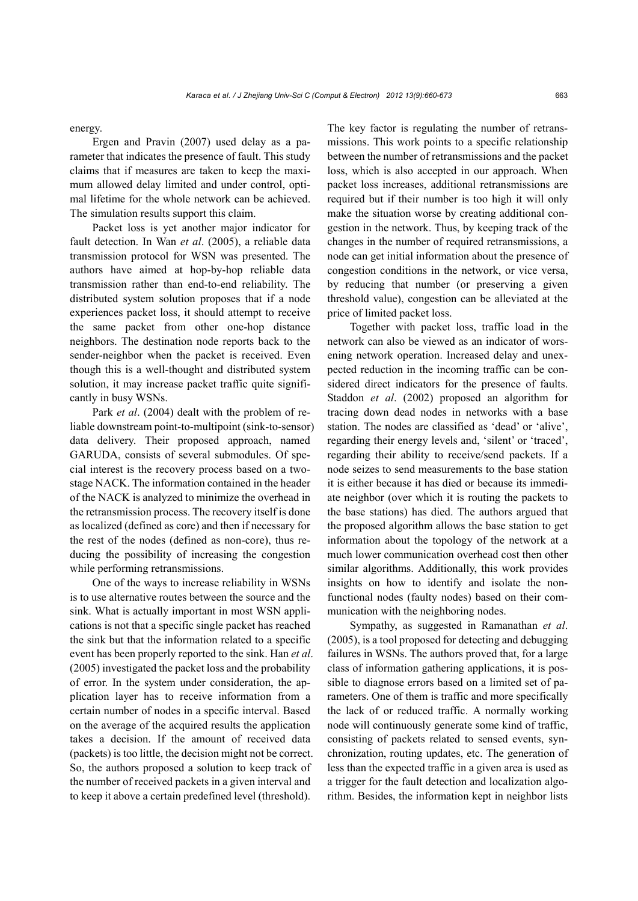energy.

Ergen and Pravin (2007) used delay as a parameter that indicates the presence of fault. This study claims that if measures are taken to keep the maximum allowed delay limited and under control, optimal lifetime for the whole network can be achieved. The simulation results support this claim.

Packet loss is yet another major indicator for fault detection. In Wan *et al*. (2005), a reliable data transmission protocol for WSN was presented. The authors have aimed at hop-by-hop reliable data transmission rather than end-to-end reliability. The distributed system solution proposes that if a node experiences packet loss, it should attempt to receive the same packet from other one-hop distance neighbors. The destination node reports back to the sender-neighbor when the packet is received. Even though this is a well-thought and distributed system solution, it may increase packet traffic quite significantly in busy WSNs.

Park *et al*. (2004) dealt with the problem of reliable downstream point-to-multipoint (sink-to-sensor) data delivery. Their proposed approach, named GARUDA, consists of several submodules. Of special interest is the recovery process based on a twostage NACK. The information contained in the header of the NACK is analyzed to minimize the overhead in the retransmission process. The recovery itself is done as localized (defined as core) and then if necessary for the rest of the nodes (defined as non-core), thus reducing the possibility of increasing the congestion while performing retransmissions.

One of the ways to increase reliability in WSNs is to use alternative routes between the source and the sink. What is actually important in most WSN applications is not that a specific single packet has reached the sink but that the information related to a specific event has been properly reported to the sink. Han *et al*. (2005) investigated the packet loss and the probability of error. In the system under consideration, the application layer has to receive information from a certain number of nodes in a specific interval. Based on the average of the acquired results the application takes a decision. If the amount of received data (packets) is too little, the decision might not be correct. So, the authors proposed a solution to keep track of the number of received packets in a given interval and to keep it above a certain predefined level (threshold).

The key factor is regulating the number of retransmissions. This work points to a specific relationship between the number of retransmissions and the packet loss, which is also accepted in our approach. When packet loss increases, additional retransmissions are required but if their number is too high it will only make the situation worse by creating additional congestion in the network. Thus, by keeping track of the changes in the number of required retransmissions, a node can get initial information about the presence of congestion conditions in the network, or vice versa, by reducing that number (or preserving a given threshold value), congestion can be alleviated at the price of limited packet loss.

Together with packet loss, traffic load in the network can also be viewed as an indicator of worsening network operation. Increased delay and unexpected reduction in the incoming traffic can be considered direct indicators for the presence of faults. Staddon *et al*. (2002) proposed an algorithm for tracing down dead nodes in networks with a base station. The nodes are classified as 'dead' or 'alive', regarding their energy levels and, 'silent' or 'traced', regarding their ability to receive/send packets. If a node seizes to send measurements to the base station it is either because it has died or because its immediate neighbor (over which it is routing the packets to the base stations) has died. The authors argued that the proposed algorithm allows the base station to get information about the topology of the network at a much lower communication overhead cost then other similar algorithms. Additionally, this work provides insights on how to identify and isolate the nonfunctional nodes (faulty nodes) based on their communication with the neighboring nodes.

Sympathy, as suggested in Ramanathan *et al*. (2005), is a tool proposed for detecting and debugging failures in WSNs. The authors proved that, for a large class of information gathering applications, it is possible to diagnose errors based on a limited set of parameters. One of them is traffic and more specifically the lack of or reduced traffic. A normally working node will continuously generate some kind of traffic, consisting of packets related to sensed events, synchronization, routing updates, etc. The generation of less than the expected traffic in a given area is used as a trigger for the fault detection and localization algorithm. Besides, the information kept in neighbor lists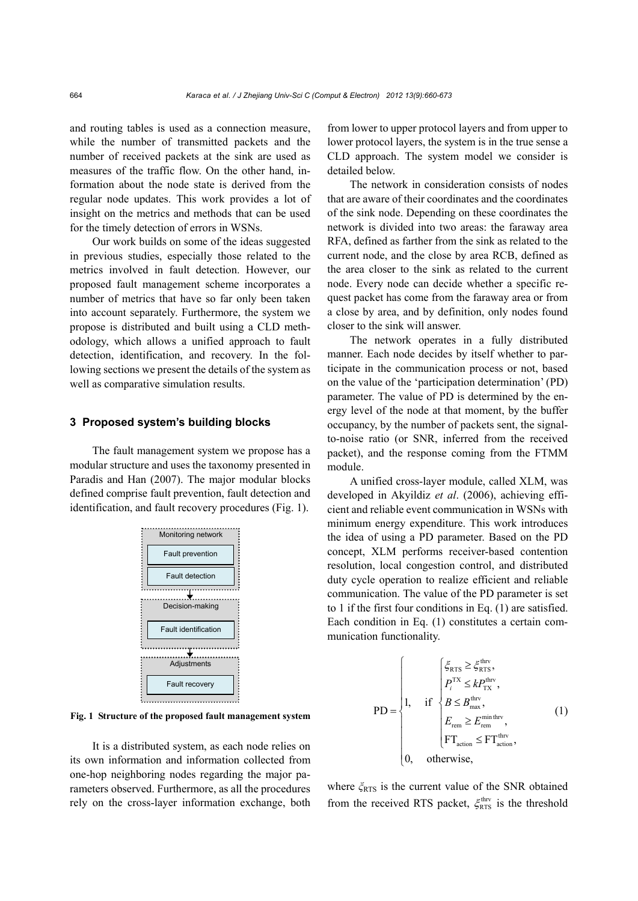and routing tables is used as a connection measure, while the number of transmitted packets and the number of received packets at the sink are used as measures of the traffic flow. On the other hand, information about the node state is derived from the regular node updates. This work provides a lot of insight on the metrics and methods that can be used for the timely detection of errors in WSNs.

Our work builds on some of the ideas suggested in previous studies, especially those related to the metrics involved in fault detection. However, our proposed fault management scheme incorporates a number of metrics that have so far only been taken into account separately. Furthermore, the system we propose is distributed and built using a CLD methodology, which allows a unified approach to fault detection, identification, and recovery. In the following sections we present the details of the system as well as comparative simulation results.

#### **3 Proposed system's building blocks**

The fault management system we propose has a modular structure and uses the taxonomy presented in Paradis and Han (2007). The major modular blocks defined comprise fault prevention, fault detection and identification, and fault recovery procedures (Fig. 1).



**Fig. 1 Structure of the proposed fault management system** 

It is a distributed system, as each node relies on its own information and information collected from one-hop neighboring nodes regarding the major parameters observed. Furthermore, as all the procedures rely on the cross-layer information exchange, both

from lower to upper protocol layers and from upper to lower protocol layers, the system is in the true sense a CLD approach. The system model we consider is detailed below.

The network in consideration consists of nodes that are aware of their coordinates and the coordinates of the sink node. Depending on these coordinates the network is divided into two areas: the faraway area RFA, defined as farther from the sink as related to the current node, and the close by area RCB, defined as the area closer to the sink as related to the current node. Every node can decide whether a specific request packet has come from the faraway area or from a close by area, and by definition, only nodes found closer to the sink will answer.

The network operates in a fully distributed manner. Each node decides by itself whether to participate in the communication process or not, based on the value of the 'participation determination' (PD) parameter. The value of PD is determined by the energy level of the node at that moment, by the buffer occupancy, by the number of packets sent, the signalto-noise ratio (or SNR, inferred from the received packet), and the response coming from the FTMM module.

A unified cross-layer module, called XLM, was developed in Akyildiz *et al*. (2006), achieving efficient and reliable event communication in WSNs with minimum energy expenditure. This work introduces the idea of using a PD parameter. Based on the PD concept, XLM performs receiver-based contention resolution, local congestion control, and distributed duty cycle operation to realize efficient and reliable communication. The value of the PD parameter is set to 1 if the first four conditions in Eq. (1) are satisfied. Each condition in Eq. (1) constitutes a certain communication functionality.

$$
PD = \begin{cases} \n\begin{cases} \n\xi_{\text{RTS}} \geq \xi_{\text{RTS}}^{\text{thrv}},\\ \nP_i^{\text{TX}} \leq kP_{\text{TX}}^{\text{thrv}},\\ \nB \leq B_{\text{max}}^{\text{thrv}},\\ \nE_{\text{rem}} \geq E_{\text{rem}}^{\text{min thrv}},\\ \n\text{FT}_{\text{action}} \leq \text{FT}_{\text{action}}^{\text{thrv}},\\ \n0, \quad \text{otherwise}, \n\end{cases} \tag{1}
$$

where  $\zeta$ <sub>RTS</sub> is the current value of the SNR obtained from the received RTS packet,  $\xi_{\text{RTS}}^{\text{thrv}}$  is the threshold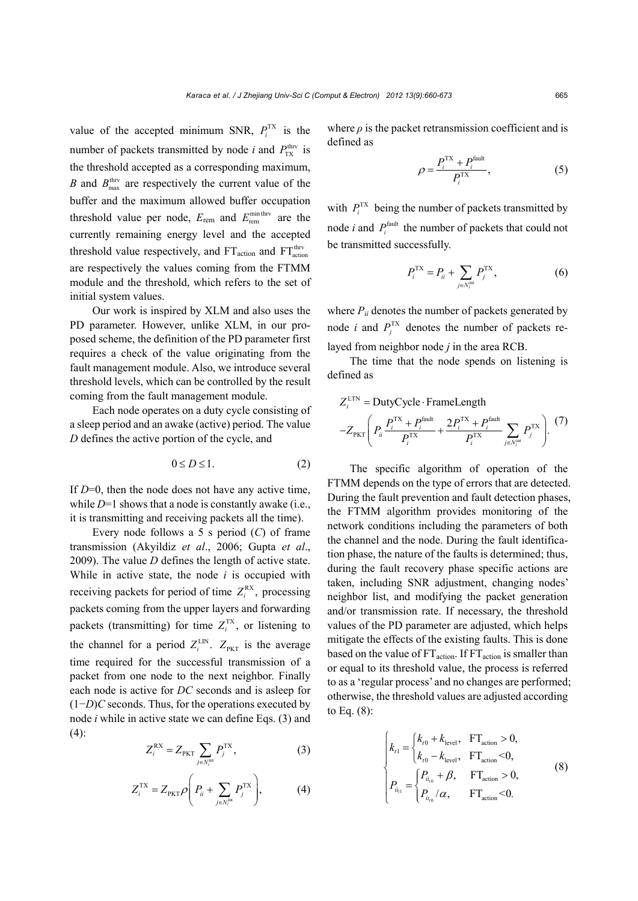value of the accepted minimum SNR,  $P_i^{Tx}$  is the number of packets transmitted by node *i* and  $P_{\text{TX}}^{\text{thrv}}$  is the threshold accepted as a corresponding maximum, *B* and  $B_{\text{max}}^{\text{thv}}$  are respectively the current value of the buffer and the maximum allowed buffer occupation threshold value per node,  $E_{\text{rem}}$  and  $E_{\text{rem}}^{\text{min} \text{ thrv}}$  are the currently remaining energy level and the accepted threshold value respectively, and  $FT_{action}$  and  $FT_{action}^{thry}$ are respectively the values coming from the FTMM module and the threshold, which refers to the set of initial system values.

Our work is inspired by XLM and also uses the PD parameter. However, unlike XLM, in our proposed scheme, the definition of the PD parameter first requires a check of the value originating from the fault management module. Also, we introduce several threshold levels, which can be controlled by the result coming from the fault management module.

Each node operates on a duty cycle consisting of a sleep period and an awake (active) period. The value *D* defines the active portion of the cycle, and

$$
0 \le D \le 1. \tag{2}
$$

If *D*=0, then the node does not have any active time, while *D*=1 shows that a node is constantly awake (i.e., it is transmitting and receiving packets all the time).

Every node follows a 5 s period (*C*) of frame transmission (Akyildiz *et al*., 2006; Gupta *et al*., 2009). The value *D* defines the length of active state. While in active state, the node *i* is occupied with receiving packets for period of time  $Z_i^{RX}$ , processing packets coming from the upper layers and forwarding packets (transmitting) for time  $Z_i^{TX}$ , or listening to the channel for a period  $Z_i^{\text{LN}}$ .  $Z_{\text{PKT}}$  is the average time required for the successful transmission of a packet from one node to the next neighbor. Finally each node is active for *DC* seconds and is asleep for (1−*D*)*C* seconds. Thus, for the operations executed by node *i* while in active state we can define Eqs. (3) and  $(4)$ :

$$
Z_i^{\text{RX}} = Z_{\text{PKT}} \sum_{j \in N_i^{\text{int}}} P_j^{\text{TX}}, \tag{3}
$$

$$
Z_i^{TX} = Z_{PKT} \rho \left( P_{ii} + \sum_{j \in N_i^{int}} P_j^{TX} \right), \tag{4}
$$

where  $\rho$  is the packet retransmission coefficient and is defined as

$$
\rho = \frac{P_i^{\text{TX}} + P_i^{\text{fault}}}{P_i^{\text{TX}}},\tag{5}
$$

with  $P_i^{Tx}$  being the number of packets transmitted by node *i* and  $P_i^{\text{fault}}$  the number of packets that could not be transmitted successfully.

$$
P_i^{TX} = P_{ii} + \sum_{j \in N_i^{int}} P_j^{TX},
$$
 (6)

where  $P_{ii}$  denotes the number of packets generated by node *i* and  $P_i^{TX}$  denotes the number of packets relayed from neighbor node *j* in the area RCB.

The time that the node spends on listening is defined as

$$
Z_i^{\text{LTN}} = \text{DutyCycle} \cdot \text{FrameLength}
$$
  
-
$$
Z_{\text{PKT}} \left( P_{ii} \frac{P_i^{\text{TX}} + P_i^{\text{fault}}}{P_i^{\text{TX}}} + \frac{2P_i^{\text{TX}} + P_i^{\text{fault}}}{P_i^{\text{TX}}} \sum_{j \in N_i^{\text{int}}} P_j^{\text{TX}} \right). (7)
$$

The specific algorithm of operation of the FTMM depends on the type of errors that are detected. During the fault prevention and fault detection phases, the FTMM algorithm provides monitoring of the network conditions including the parameters of both the channel and the node. During the fault identification phase, the nature of the faults is determined; thus, during the fault recovery phase specific actions are taken, including SNR adjustment, changing nodes' neighbor list, and modifying the packet generation and/or transmission rate. If necessary, the threshold values of the PD parameter are adjusted, which helps mitigate the effects of the existing faults. This is done based on the value of  $FT_{action}$ . If  $FT_{action}$  is smaller than or equal to its threshold value, the process is referred to as a 'regular process' and no changes are performed; otherwise, the threshold values are adjusted according to Eq. (8):

$$
\begin{cases}\nk_{t1} = \begin{cases}\nk_{t0} + k_{\text{level}}, & \text{FT}_{\text{action}} > 0, \\
k_{t0} - k_{\text{level}}, & \text{FT}_{\text{action}} < 0,\n\end{cases} \\
P_{ii_{t1}} = \begin{cases}\nP_{ii_{t0}} + \beta, & \text{FT}_{\text{action}} > 0, \\
P_{ii_{t1}} - \gamma_{\text{action}} & \text{FT}_{\text{action}} < 0.\n\end{cases}\n\tag{8}
$$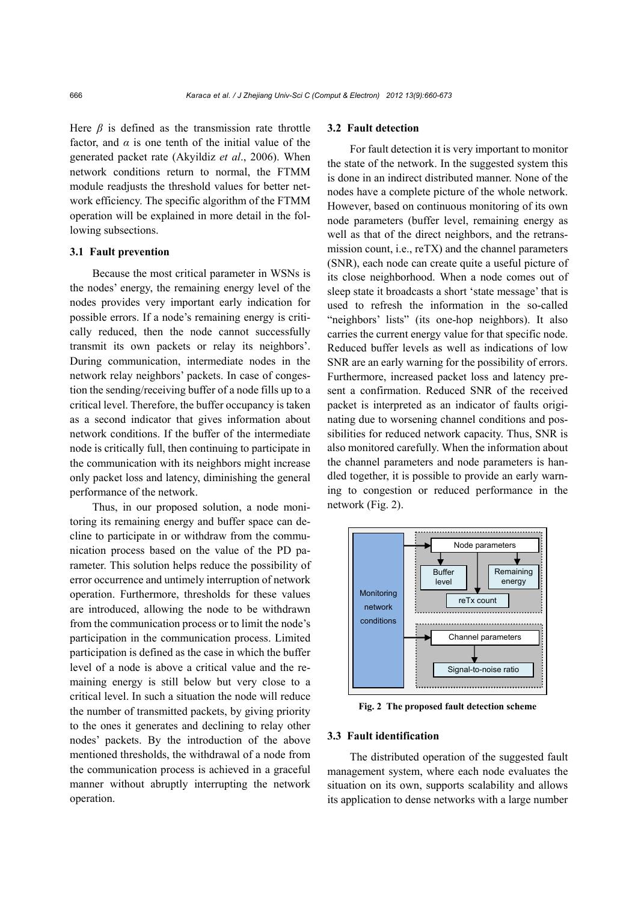Here  $\beta$  is defined as the transmission rate throttle factor, and  $\alpha$  is one tenth of the initial value of the generated packet rate (Akyildiz *et al*., 2006). When network conditions return to normal, the FTMM module readjusts the threshold values for better network efficiency. The specific algorithm of the FTMM operation will be explained in more detail in the following subsections.

#### **3.1 Fault prevention**

Because the most critical parameter in WSNs is the nodes' energy, the remaining energy level of the nodes provides very important early indication for possible errors. If a node's remaining energy is critically reduced, then the node cannot successfully transmit its own packets or relay its neighbors'. During communication, intermediate nodes in the network relay neighbors' packets. In case of congestion the sending/receiving buffer of a node fills up to a critical level. Therefore, the buffer occupancy is taken as a second indicator that gives information about network conditions. If the buffer of the intermediate node is critically full, then continuing to participate in the communication with its neighbors might increase only packet loss and latency, diminishing the general performance of the network.

Thus, in our proposed solution, a node monitoring its remaining energy and buffer space can decline to participate in or withdraw from the communication process based on the value of the PD parameter. This solution helps reduce the possibility of error occurrence and untimely interruption of network operation. Furthermore, thresholds for these values are introduced, allowing the node to be withdrawn from the communication process or to limit the node's participation in the communication process. Limited participation is defined as the case in which the buffer level of a node is above a critical value and the remaining energy is still below but very close to a critical level. In such a situation the node will reduce the number of transmitted packets, by giving priority to the ones it generates and declining to relay other nodes' packets. By the introduction of the above mentioned thresholds, the withdrawal of a node from the communication process is achieved in a graceful manner without abruptly interrupting the network operation.

#### **3.2 Fault detection**

For fault detection it is very important to monitor the state of the network. In the suggested system this is done in an indirect distributed manner. None of the nodes have a complete picture of the whole network. However, based on continuous monitoring of its own node parameters (buffer level, remaining energy as well as that of the direct neighbors, and the retransmission count, i.e., reTX) and the channel parameters (SNR), each node can create quite a useful picture of its close neighborhood. When a node comes out of sleep state it broadcasts a short 'state message' that is used to refresh the information in the so-called "neighbors' lists" (its one-hop neighbors). It also carries the current energy value for that specific node. Reduced buffer levels as well as indications of low SNR are an early warning for the possibility of errors. Furthermore, increased packet loss and latency present a confirmation. Reduced SNR of the received packet is interpreted as an indicator of faults originating due to worsening channel conditions and possibilities for reduced network capacity. Thus, SNR is also monitored carefully. When the information about the channel parameters and node parameters is handled together, it is possible to provide an early warning to congestion or reduced performance in the network (Fig. 2).



**Fig. 2 The proposed fault detection scheme** 

#### **3.3 Fault identification**

The distributed operation of the suggested fault management system, where each node evaluates the situation on its own, supports scalability and allows its application to dense networks with a large number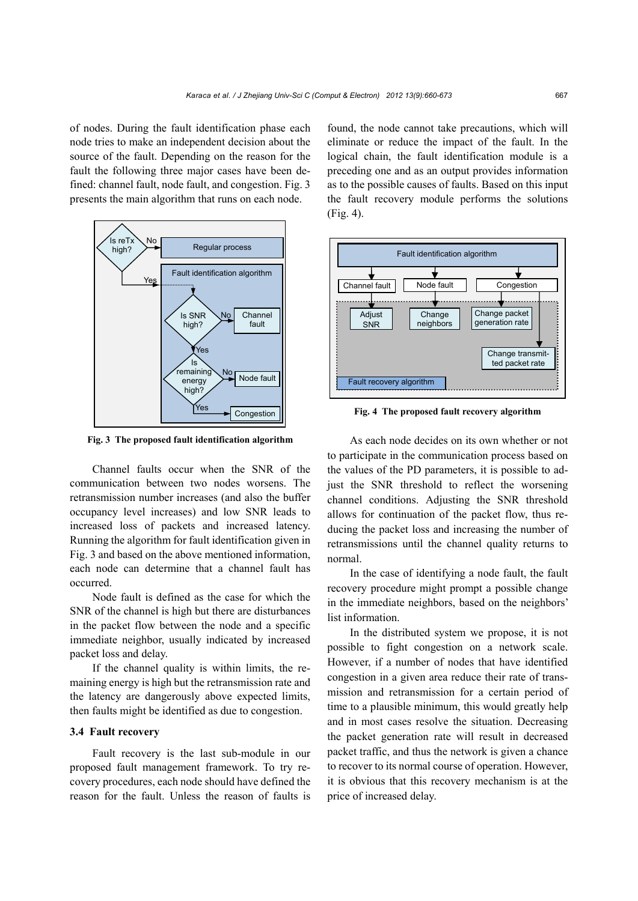of nodes. During the fault identification phase each node tries to make an independent decision about the source of the fault. Depending on the reason for the fault the following three major cases have been defined: channel fault, node fault, and congestion. Fig. 3 presents the main algorithm that runs on each node.



**Fig. 3 The proposed fault identification algorithm** 

Channel faults occur when the SNR of the communication between two nodes worsens. The retransmission number increases (and also the buffer occupancy level increases) and low SNR leads to increased loss of packets and increased latency. Running the algorithm for fault identification given in Fig. 3 and based on the above mentioned information, each node can determine that a channel fault has occurred.

Node fault is defined as the case for which the SNR of the channel is high but there are disturbances in the packet flow between the node and a specific immediate neighbor, usually indicated by increased packet loss and delay.

If the channel quality is within limits, the remaining energy is high but the retransmission rate and the latency are dangerously above expected limits, then faults might be identified as due to congestion.

#### **3.4 Fault recovery**

Fault recovery is the last sub-module in our proposed fault management framework. To try recovery procedures, each node should have defined the reason for the fault. Unless the reason of faults is

found, the node cannot take precautions, which will eliminate or reduce the impact of the fault. In the logical chain, the fault identification module is a preceding one and as an output provides information as to the possible causes of faults. Based on this input the fault recovery module performs the solutions (Fig. 4).



**Fig. 4 The proposed fault recovery algorithm** 

As each node decides on its own whether or not to participate in the communication process based on the values of the PD parameters, it is possible to adjust the SNR threshold to reflect the worsening channel conditions. Adjusting the SNR threshold allows for continuation of the packet flow, thus reducing the packet loss and increasing the number of retransmissions until the channel quality returns to normal.

In the case of identifying a node fault, the fault recovery procedure might prompt a possible change in the immediate neighbors, based on the neighbors' list information.

In the distributed system we propose, it is not possible to fight congestion on a network scale. However, if a number of nodes that have identified congestion in a given area reduce their rate of transmission and retransmission for a certain period of time to a plausible minimum, this would greatly help and in most cases resolve the situation. Decreasing the packet generation rate will result in decreased packet traffic, and thus the network is given a chance to recover to its normal course of operation. However, it is obvious that this recovery mechanism is at the price of increased delay.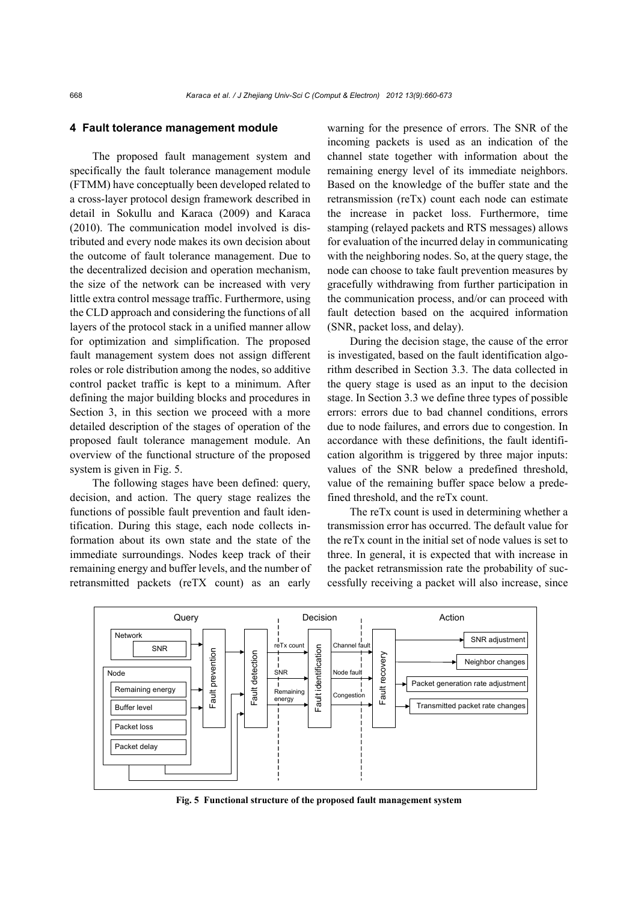#### **4 Fault tolerance management module**

The proposed fault management system and specifically the fault tolerance management module (FTMM) have conceptually been developed related to a cross-layer protocol design framework described in detail in Sokullu and Karaca (2009) and Karaca (2010). The communication model involved is distributed and every node makes its own decision about the outcome of fault tolerance management. Due to the decentralized decision and operation mechanism, the size of the network can be increased with very little extra control message traffic. Furthermore, using the CLD approach and considering the functions of all layers of the protocol stack in a unified manner allow for optimization and simplification. The proposed fault management system does not assign different roles or role distribution among the nodes, so additive control packet traffic is kept to a minimum. After defining the major building blocks and procedures in Section 3, in this section we proceed with a more detailed description of the stages of operation of the proposed fault tolerance management module. An overview of the functional structure of the proposed system is given in Fig. 5.

The following stages have been defined: query, decision, and action. The query stage realizes the functions of possible fault prevention and fault identification. During this stage, each node collects information about its own state and the state of the immediate surroundings. Nodes keep track of their remaining energy and buffer levels, and the number of retransmitted packets (reTX count) as an early

warning for the presence of errors. The SNR of the incoming packets is used as an indication of the channel state together with information about the remaining energy level of its immediate neighbors. Based on the knowledge of the buffer state and the retransmission (reTx) count each node can estimate the increase in packet loss. Furthermore, time stamping (relayed packets and RTS messages) allows for evaluation of the incurred delay in communicating with the neighboring nodes. So, at the query stage, the node can choose to take fault prevention measures by gracefully withdrawing from further participation in the communication process, and/or can proceed with fault detection based on the acquired information (SNR, packet loss, and delay).

During the decision stage, the cause of the error is investigated, based on the fault identification algorithm described in Section 3.3. The data collected in the query stage is used as an input to the decision stage. In Section 3.3 we define three types of possible errors: errors due to bad channel conditions, errors due to node failures, and errors due to congestion. In accordance with these definitions, the fault identification algorithm is triggered by three major inputs: values of the SNR below a predefined threshold, value of the remaining buffer space below a predefined threshold, and the reTx count.

The reTx count is used in determining whether a transmission error has occurred. The default value for the reTx count in the initial set of node values is set to three. In general, it is expected that with increase in the packet retransmission rate the probability of successfully receiving a packet will also increase, since



**Fig. 5 Functional structure of the proposed fault management system**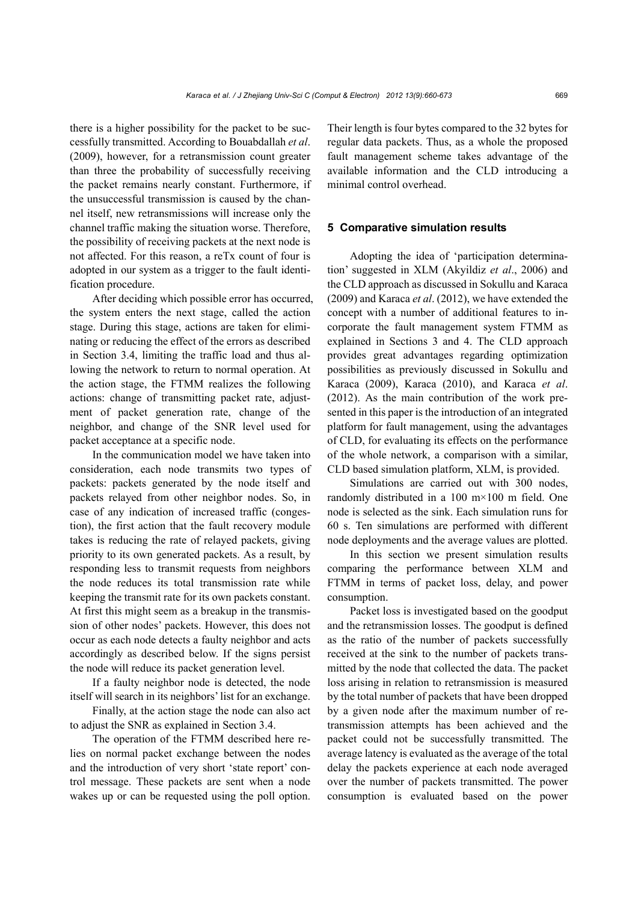there is a higher possibility for the packet to be successfully transmitted. According to Bouabdallah *et al*. (2009), however, for a retransmission count greater than three the probability of successfully receiving the packet remains nearly constant. Furthermore, if the unsuccessful transmission is caused by the channel itself, new retransmissions will increase only the channel traffic making the situation worse. Therefore, the possibility of receiving packets at the next node is not affected. For this reason, a reTx count of four is adopted in our system as a trigger to the fault identification procedure.

After deciding which possible error has occurred, the system enters the next stage, called the action stage. During this stage, actions are taken for eliminating or reducing the effect of the errors as described in Section 3.4, limiting the traffic load and thus allowing the network to return to normal operation. At the action stage, the FTMM realizes the following actions: change of transmitting packet rate, adjustment of packet generation rate, change of the neighbor, and change of the SNR level used for packet acceptance at a specific node.

In the communication model we have taken into consideration, each node transmits two types of packets: packets generated by the node itself and packets relayed from other neighbor nodes. So, in case of any indication of increased traffic (congestion), the first action that the fault recovery module takes is reducing the rate of relayed packets, giving priority to its own generated packets. As a result, by responding less to transmit requests from neighbors the node reduces its total transmission rate while keeping the transmit rate for its own packets constant. At first this might seem as a breakup in the transmission of other nodes' packets. However, this does not occur as each node detects a faulty neighbor and acts accordingly as described below. If the signs persist the node will reduce its packet generation level.

If a faulty neighbor node is detected, the node itself will search in its neighbors' list for an exchange.

Finally, at the action stage the node can also act to adjust the SNR as explained in Section 3.4.

The operation of the FTMM described here relies on normal packet exchange between the nodes and the introduction of very short 'state report' control message. These packets are sent when a node wakes up or can be requested using the poll option.

Their length is four bytes compared to the 32 bytes for regular data packets. Thus, as a whole the proposed fault management scheme takes advantage of the available information and the CLD introducing a minimal control overhead.

#### **5 Comparative simulation results**

Adopting the idea of 'participation determination' suggested in XLM (Akyildiz *et al*., 2006) and the CLD approach as discussed in Sokullu and Karaca (2009) and Karaca *et al*. (2012), we have extended the concept with a number of additional features to incorporate the fault management system FTMM as explained in Sections 3 and 4. The CLD approach provides great advantages regarding optimization possibilities as previously discussed in Sokullu and Karaca (2009), Karaca (2010), and Karaca *et al*. (2012). As the main contribution of the work presented in this paper is the introduction of an integrated platform for fault management, using the advantages of CLD, for evaluating its effects on the performance of the whole network, a comparison with a similar, CLD based simulation platform, XLM, is provided.

Simulations are carried out with 300 nodes, randomly distributed in a 100 m×100 m field. One node is selected as the sink. Each simulation runs for 60 s. Ten simulations are performed with different node deployments and the average values are plotted.

In this section we present simulation results comparing the performance between XLM and FTMM in terms of packet loss, delay, and power consumption.

Packet loss is investigated based on the goodput and the retransmission losses. The goodput is defined as the ratio of the number of packets successfully received at the sink to the number of packets transmitted by the node that collected the data. The packet loss arising in relation to retransmission is measured by the total number of packets that have been dropped by a given node after the maximum number of retransmission attempts has been achieved and the packet could not be successfully transmitted. The average latency is evaluated as the average of the total delay the packets experience at each node averaged over the number of packets transmitted. The power consumption is evaluated based on the power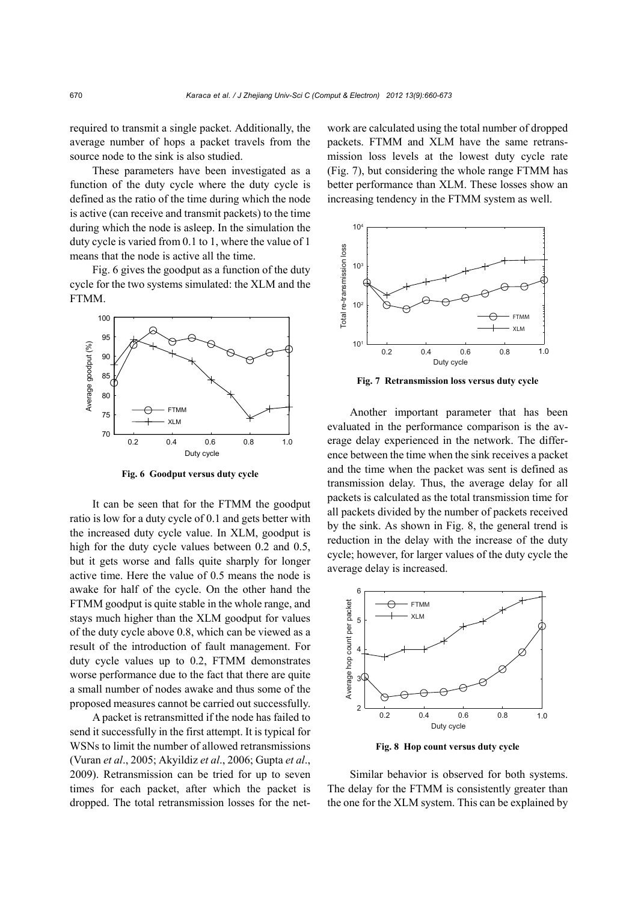required to transmit a single packet. Additionally, the average number of hops a packet travels from the source node to the sink is also studied.

These parameters have been investigated as a function of the duty cycle where the duty cycle is defined as the ratio of the time during which the node is active (can receive and transmit packets) to the time during which the node is asleep. In the simulation the duty cycle is varied from 0.1 to 1, where the value of 1 means that the node is active all the time.

Fig. 6 gives the goodput as a function of the duty cycle for the two systems simulated: the XLM and the FTMM.



**Fig. 6 Goodput versus duty cycle** 

It can be seen that for the FTMM the goodput ratio is low for a duty cycle of 0.1 and gets better with the increased duty cycle value. In XLM, goodput is high for the duty cycle values between 0.2 and 0.5, but it gets worse and falls quite sharply for longer active time. Here the value of 0.5 means the node is awake for half of the cycle. On the other hand the FTMM goodput is quite stable in the whole range, and stays much higher than the XLM goodput for values of the duty cycle above 0.8, which can be viewed as a result of the introduction of fault management. For duty cycle values up to 0.2, FTMM demonstrates worse performance due to the fact that there are quite a small number of nodes awake and thus some of the proposed measures cannot be carried out successfully.

A packet is retransmitted if the node has failed to send it successfully in the first attempt. It is typical for WSNs to limit the number of allowed retransmissions (Vuran *et al*., 2005; Akyildiz *et al*., 2006; Gupta *et al*., 2009). Retransmission can be tried for up to seven times for each packet, after which the packet is dropped. The total retransmission losses for the network are calculated using the total number of dropped packets. FTMM and XLM have the same retransmission loss levels at the lowest duty cycle rate (Fig. 7), but considering the whole range FTMM has better performance than XLM. These losses show an increasing tendency in the FTMM system as well.



**Fig. 7 Retransmission loss versus duty cycle**

Another important parameter that has been evaluated in the performance comparison is the average delay experienced in the network. The difference between the time when the sink receives a packet and the time when the packet was sent is defined as transmission delay. Thus, the average delay for all packets is calculated as the total transmission time for all packets divided by the number of packets received by the sink. As shown in Fig. 8, the general trend is reduction in the delay with the increase of the duty cycle; however, for larger values of the duty cycle the average delay is increased.



**Fig. 8 Hop count versus duty cycle**

Similar behavior is observed for both systems. The delay for the FTMM is consistently greater than the one for the XLM system. This can be explained by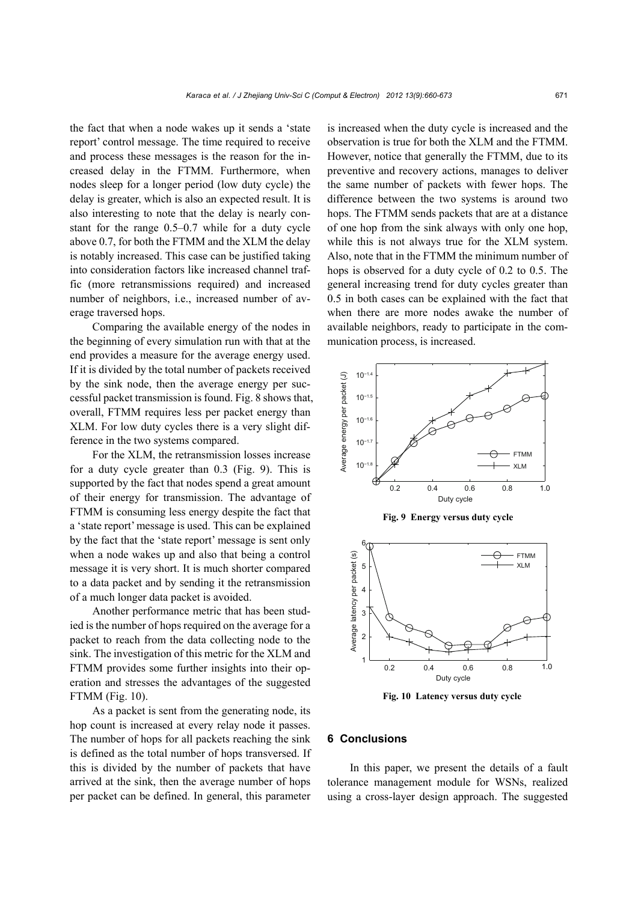the fact that when a node wakes up it sends a 'state report' control message. The time required to receive and process these messages is the reason for the increased delay in the FTMM. Furthermore, when nodes sleep for a longer period (low duty cycle) the delay is greater, which is also an expected result. It is also interesting to note that the delay is nearly constant for the range 0.5–0.7 while for a duty cycle above 0.7, for both the FTMM and the XLM the delay is notably increased. This case can be justified taking into consideration factors like increased channel traffic (more retransmissions required) and increased number of neighbors, i.e., increased number of average traversed hops.

Comparing the available energy of the nodes in the beginning of every simulation run with that at the end provides a measure for the average energy used. If it is divided by the total number of packets received by the sink node, then the average energy per successful packet transmission is found. Fig. 8 shows that, overall, FTMM requires less per packet energy than XLM. For low duty cycles there is a very slight difference in the two systems compared.

For the XLM, the retransmission losses increase for a duty cycle greater than 0.3 (Fig. 9). This is supported by the fact that nodes spend a great amount of their energy for transmission. The advantage of FTMM is consuming less energy despite the fact that a 'state report' message is used. This can be explained by the fact that the 'state report' message is sent only when a node wakes up and also that being a control message it is very short. It is much shorter compared to a data packet and by sending it the retransmission of a much longer data packet is avoided.

Another performance metric that has been studied is the number of hops required on the average for a packet to reach from the data collecting node to the sink. The investigation of this metric for the XLM and FTMM provides some further insights into their operation and stresses the advantages of the suggested FTMM (Fig. 10).

As a packet is sent from the generating node, its hop count is increased at every relay node it passes. The number of hops for all packets reaching the sink is defined as the total number of hops transversed. If this is divided by the number of packets that have arrived at the sink, then the average number of hops per packet can be defined. In general, this parameter is increased when the duty cycle is increased and the observation is true for both the XLM and the FTMM. However, notice that generally the FTMM, due to its preventive and recovery actions, manages to deliver the same number of packets with fewer hops. The difference between the two systems is around two hops. The FTMM sends packets that are at a distance of one hop from the sink always with only one hop, while this is not always true for the XLM system. Also, note that in the FTMM the minimum number of hops is observed for a duty cycle of 0.2 to 0.5. The general increasing trend for duty cycles greater than 0.5 in both cases can be explained with the fact that when there are more nodes awake the number of available neighbors, ready to participate in the communication process, is increased.





**Fig. 10 Latency versus duty cycle**

#### **6 Conclusions**

In this paper, we present the details of a fault tolerance management module for WSNs, realized using a cross-layer design approach. The suggested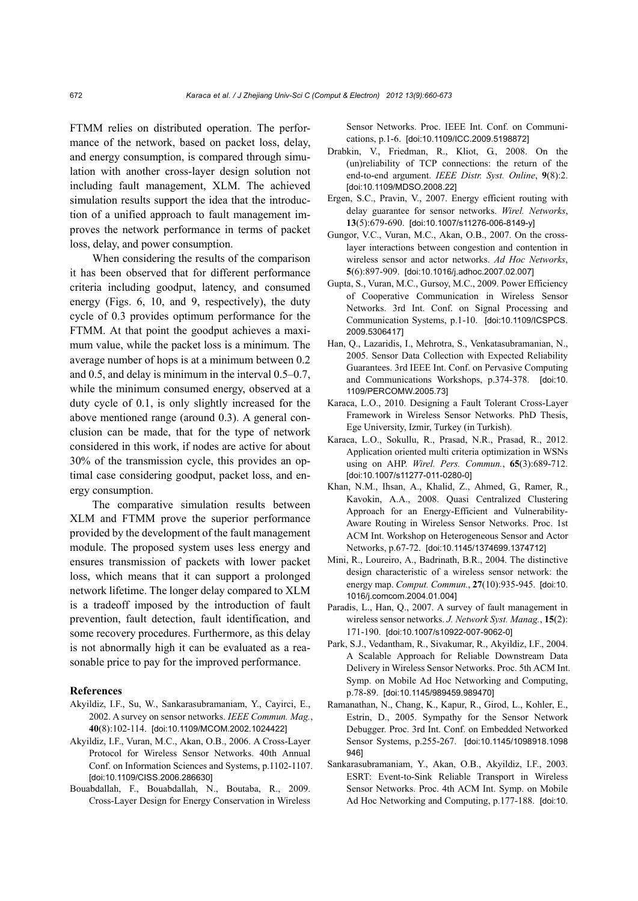FTMM relies on distributed operation. The performance of the network, based on packet loss, delay, and energy consumption, is compared through simulation with another cross-layer design solution not including fault management, XLM. The achieved simulation results support the idea that the introduction of a unified approach to fault management improves the network performance in terms of packet loss, delay, and power consumption.

When considering the results of the comparison it has been observed that for different performance criteria including goodput, latency, and consumed energy (Figs. 6, 10, and 9, respectively), the duty cycle of 0.3 provides optimum performance for the FTMM. At that point the goodput achieves a maximum value, while the packet loss is a minimum. The average number of hops is at a minimum between 0.2 and 0.5, and delay is minimum in the interval 0.5–0.7, while the minimum consumed energy, observed at a duty cycle of 0.1, is only slightly increased for the above mentioned range (around 0.3). A general conclusion can be made, that for the type of network considered in this work, if nodes are active for about 30% of the transmission cycle, this provides an optimal case considering goodput, packet loss, and energy consumption.

The comparative simulation results between XLM and FTMM prove the superior performance provided by the development of the fault management module. The proposed system uses less energy and ensures transmission of packets with lower packet loss, which means that it can support a prolonged network lifetime. The longer delay compared to XLM is a tradeoff imposed by the introduction of fault prevention, fault detection, fault identification, and some recovery procedures. Furthermore, as this delay is not abnormally high it can be evaluated as a reasonable price to pay for the improved performance.

#### **References**

- Akyildiz, I.F., Su, W., Sankarasubramaniam, Y., Cayirci, E., 2002. A survey on sensor networks. *IEEE Commun. Mag.*, **40**(8):102-114. [doi:10.1109/MCOM.2002.1024422]
- Akyildiz, I.F., Vuran, M.C., Akan, O.B., 2006. A Cross-Layer Protocol for Wireless Sensor Networks. 40th Annual Conf. on Information Sciences and Systems, p.1102-1107. [doi:10.1109/CISS.2006.286630]
- Bouabdallah, F., Bouabdallah, N., Boutaba, R., 2009. Cross-Layer Design for Energy Conservation in Wireless

Sensor Networks. Proc. IEEE Int. Conf. on Communications, p.1-6. [doi:10.1109/ICC.2009.5198872]

- Drabkin, V., Friedman, R., Kliot, G., 2008. On the (un)reliability of TCP connections: the return of the end-to-end argument. *IEEE Distr. Syst. Online*, **9**(8):2. [doi:10.1109/MDSO.2008.22]
- Ergen, S.C., Pravin, V., 2007. Energy efficient routing with delay guarantee for sensor networks. *Wirel. Networks*, **13**(5):679-690. [doi:10.1007/s11276-006-8149-y]
- Gungor, V.C., Vuran, M.C., Akan, O.B., 2007. On the crosslayer interactions between congestion and contention in wireless sensor and actor networks. *Ad Hoc Networks*, **5**(6):897-909. [doi:10.1016/j.adhoc.2007.02.007]
- Gupta, S., Vuran, M.C., Gursoy, M.C., 2009. Power Efficiency of Cooperative Communication in Wireless Sensor Networks. 3rd Int. Conf. on Signal Processing and Communication Systems, p.1-10. [doi:10.1109/ICSPCS. 2009.5306417]
- Han, Q., Lazaridis, I., Mehrotra, S., Venkatasubramanian, N., 2005. Sensor Data Collection with Expected Reliability Guarantees. 3rd IEEE Int. Conf. on Pervasive Computing and Communications Workshops, p.374-378. [doi:10. 1109/PERCOMW.2005.73]
- Karaca, L.O., 2010. Designing a Fault Tolerant Cross-Layer Framework in Wireless Sensor Networks. PhD Thesis, Ege University, Izmir, Turkey (in Turkish).
- Karaca, L.O., Sokullu, R., Prasad, N.R., Prasad, R., 2012. Application oriented multi criteria optimization in WSNs using on AHP. *Wirel. Pers. Commun.*, **65**(3):689-712. [doi:10.1007/s11277-011-0280-0]
- Khan, N.M., Ihsan, A., Khalid, Z., Ahmed, G., Ramer, R., Kavokin, A.A., 2008. Quasi Centralized Clustering Approach for an Energy-Efficient and Vulnerability-Aware Routing in Wireless Sensor Networks. Proc. 1st ACM Int. Workshop on Heterogeneous Sensor and Actor Networks, p.67-72. [doi:10.1145/1374699.1374712]
- Mini, R., Loureiro, A., Badrinath, B.R., 2004. The distinctive design characteristic of a wireless sensor network: the energy map. *Comput. Commun.*, **27**(10):935-945. [doi:10. 1016/j.comcom.2004.01.004]
- Paradis, L., Han, Q., 2007. A survey of fault management in wireless sensor networks. *J. Network Syst. Manag.*, **15**(2): 171-190. [doi:10.1007/s10922-007-9062-0]
- Park, S.J., Vedantham, R., Sivakumar, R., Akyildiz, I.F., 2004. A Scalable Approach for Reliable Downstream Data Delivery in Wireless Sensor Networks. Proc. 5th ACM Int. Symp. on Mobile Ad Hoc Networking and Computing, p.78-89. [doi:10.1145/989459.989470]
- Ramanathan, N., Chang, K., Kapur, R., Girod, L., Kohler, E., Estrin, D., 2005. Sympathy for the Sensor Network Debugger. Proc. 3rd Int. Conf. on Embedded Networked Sensor Systems, p.255-267. [doi:10.1145/1098918.1098 946]
- Sankarasubramaniam, Y., Akan, O.B., Akyildiz, I.F., 2003. ESRT: Event-to-Sink Reliable Transport in Wireless Sensor Networks. Proc. 4th ACM Int. Symp. on Mobile Ad Hoc Networking and Computing, p.177-188. [doi:10.